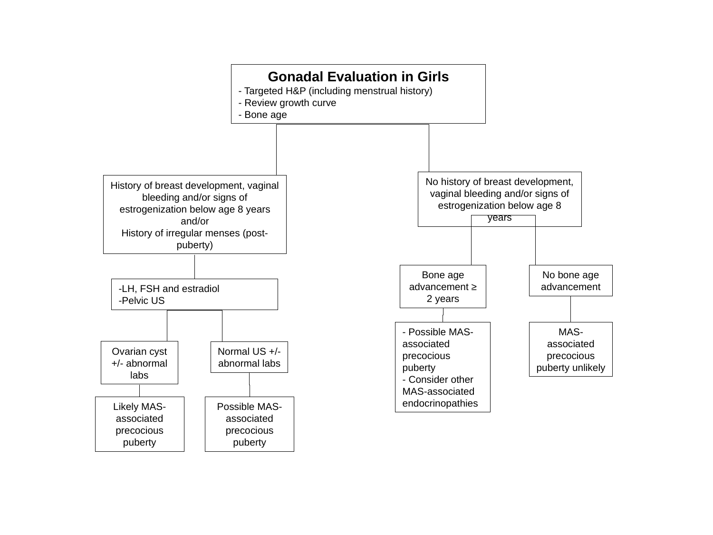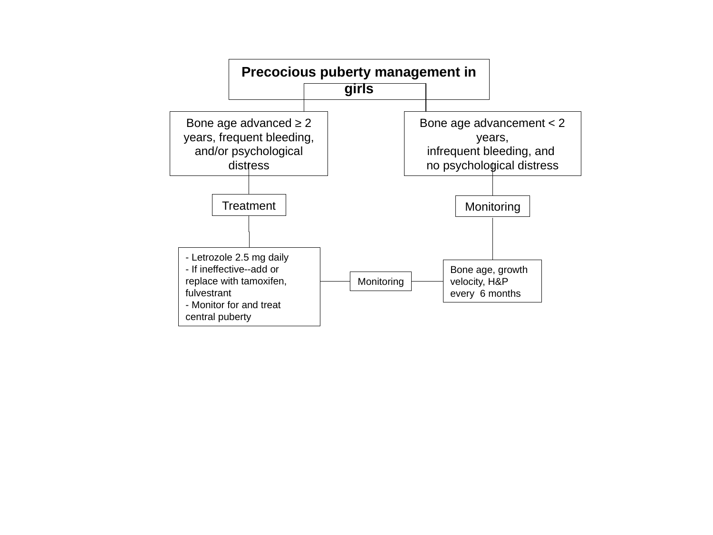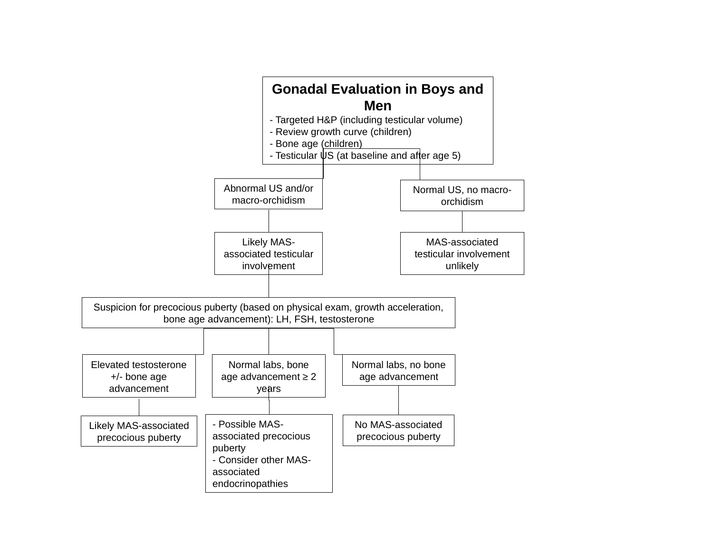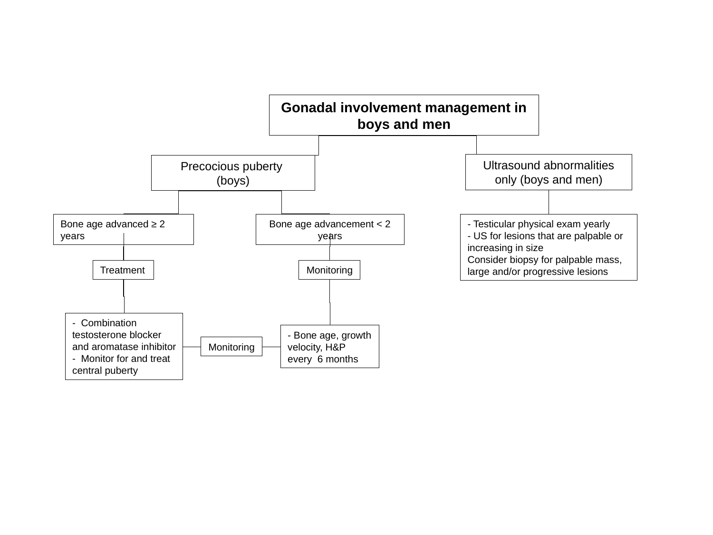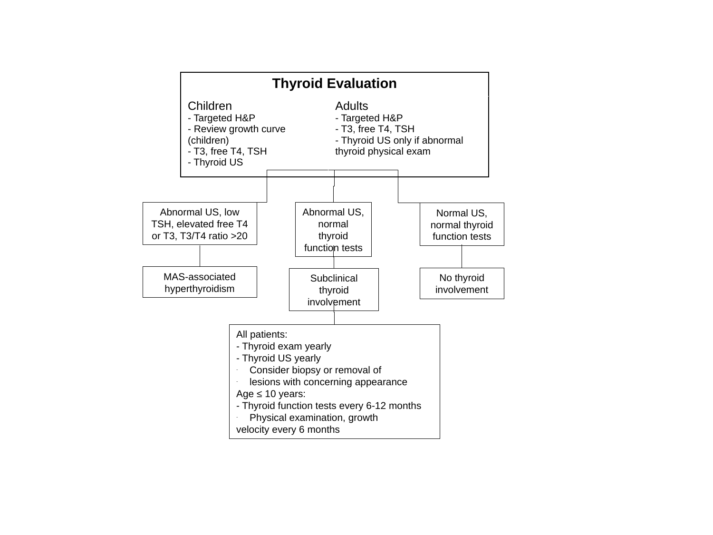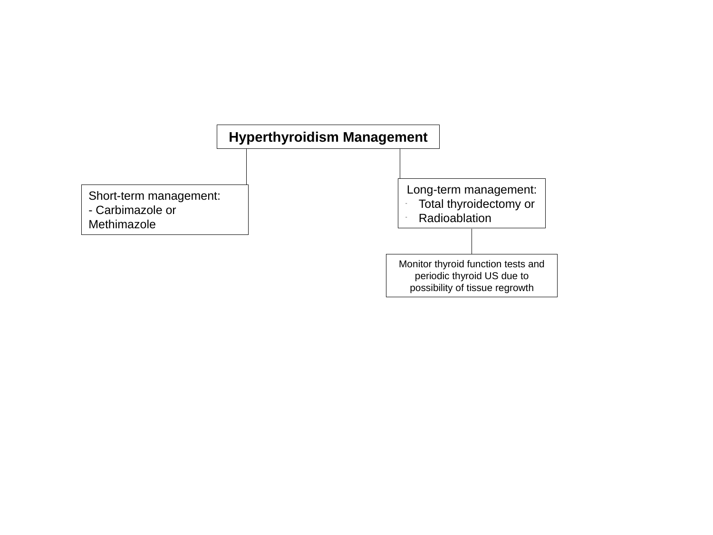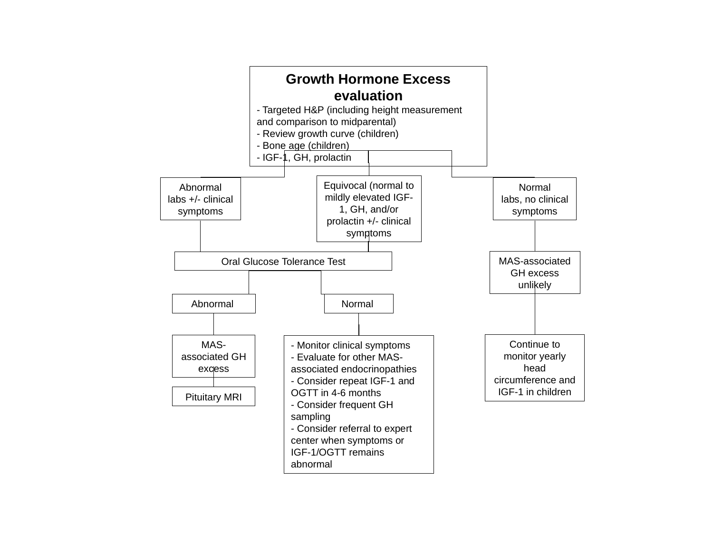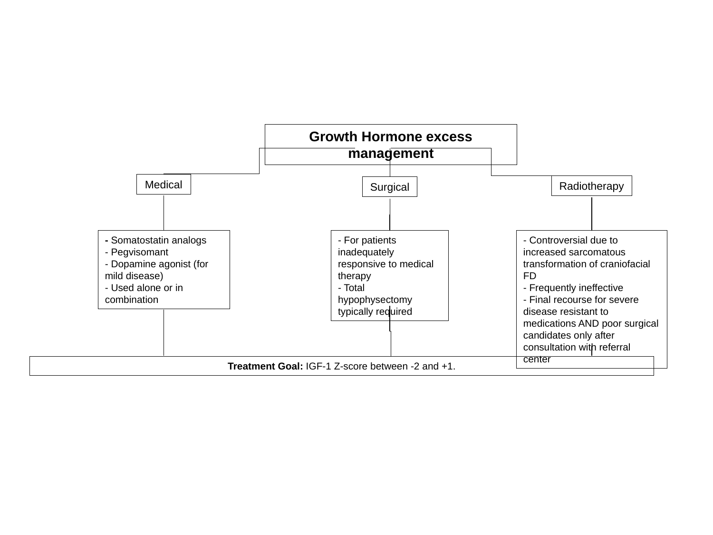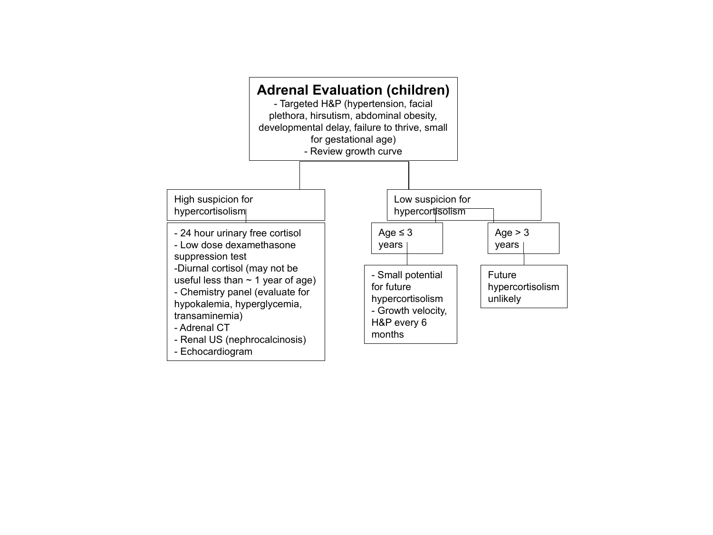